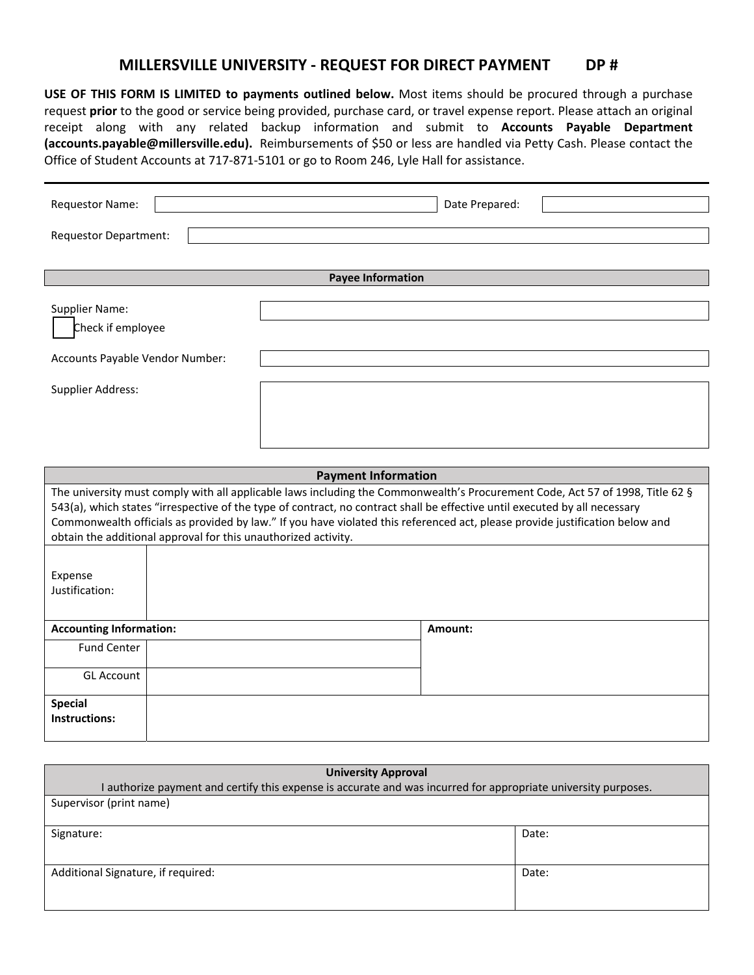## **MILLERSVILLE UNIVERSITY ‐ REQUEST FOR DIRECT PAYMENT DP #**

**USE OF THIS FORM IS LIMITED to payments outlined below.** Most items should be procured through a purchase request **prior** to the good or service being provided, purchase card, or travel expense report. Please attach an original receipt along with any related backup information and submit to **Accounts Payable Department (accounts.payable@millersville.edu).** Reimbursements of \$50 or less are handled via Petty Cash. Please contact the Office of Student Accounts at 717‐871‐5101 or go to Room 246, Lyle Hall for assistance.

| Requestor Name:                                                        | Date Prepared: |  |  |  |  |  |
|------------------------------------------------------------------------|----------------|--|--|--|--|--|
| <b>Requestor Department:</b>                                           |                |  |  |  |  |  |
|                                                                        |                |  |  |  |  |  |
| <b>Payee Information</b>                                               |                |  |  |  |  |  |
| Supplier Name:<br>Check if employee<br>Accounts Payable Vendor Number: |                |  |  |  |  |  |
| <b>Supplier Address:</b>                                               |                |  |  |  |  |  |

| <b>Payment Information</b>                                                                                                    |  |         |  |  |  |
|-------------------------------------------------------------------------------------------------------------------------------|--|---------|--|--|--|
| The university must comply with all applicable laws including the Commonwealth's Procurement Code, Act 57 of 1998, Title 62 § |  |         |  |  |  |
| 543(a), which states "irrespective of the type of contract, no contract shall be effective until executed by all necessary    |  |         |  |  |  |
| Commonwealth officials as provided by law." If you have violated this referenced act, please provide justification below and  |  |         |  |  |  |
| obtain the additional approval for this unauthorized activity.                                                                |  |         |  |  |  |
|                                                                                                                               |  |         |  |  |  |
| Expense                                                                                                                       |  |         |  |  |  |
| Justification:                                                                                                                |  |         |  |  |  |
|                                                                                                                               |  |         |  |  |  |
| <b>Accounting Information:</b>                                                                                                |  | Amount: |  |  |  |
| <b>Fund Center</b>                                                                                                            |  |         |  |  |  |
|                                                                                                                               |  |         |  |  |  |
| <b>GL Account</b>                                                                                                             |  |         |  |  |  |
| <b>Special</b>                                                                                                                |  |         |  |  |  |
| Instructions:                                                                                                                 |  |         |  |  |  |
|                                                                                                                               |  |         |  |  |  |

| <b>University Approval</b>                                                                                     |       |  |  |  |
|----------------------------------------------------------------------------------------------------------------|-------|--|--|--|
| I authorize payment and certify this expense is accurate and was incurred for appropriate university purposes. |       |  |  |  |
| Supervisor (print name)                                                                                        |       |  |  |  |
|                                                                                                                |       |  |  |  |
| Signature:                                                                                                     | Date: |  |  |  |
|                                                                                                                |       |  |  |  |
|                                                                                                                |       |  |  |  |
| Additional Signature, if required:                                                                             | Date: |  |  |  |
|                                                                                                                |       |  |  |  |
|                                                                                                                |       |  |  |  |